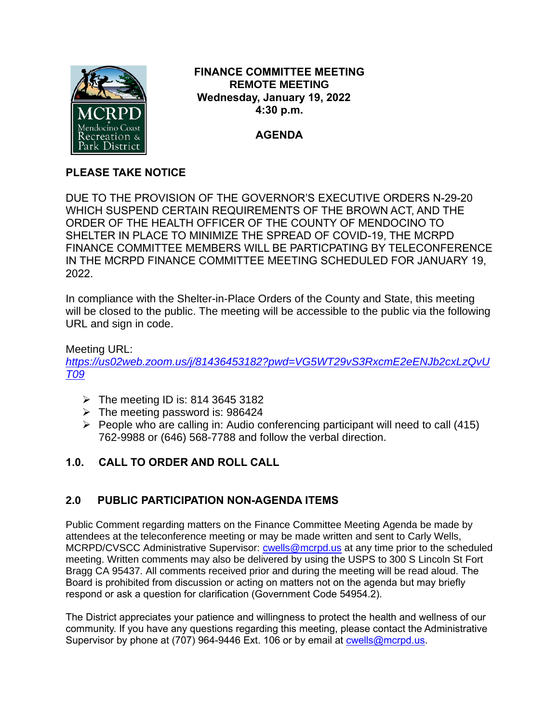

## **FINANCE COMMITTEE MEETING REMOTE MEETING Wednesday, January 19, 2022 4:30 p.m.**

# **AGENDA**

# **PLEASE TAKE NOTICE**

DUE TO THE PROVISION OF THE GOVERNOR'S EXECUTIVE ORDERS N-29-20 WHICH SUSPEND CERTAIN REQUIREMENTS OF THE BROWN ACT, AND THE ORDER OF THE HEALTH OFFICER OF THE COUNTY OF MENDOCINO TO SHELTER IN PLACE TO MINIMIZE THE SPREAD OF COVID-19, THE MCRPD FINANCE COMMITTEE MEMBERS WILL BE PARTICPATING BY TELECONFERENCE IN THE MCRPD FINANCE COMMITTEE MEETING SCHEDULED FOR JANUARY 19, 2022.

In compliance with the Shelter-in-Place Orders of the County and State, this meeting will be closed to the public. The meeting will be accessible to the public via the following URL and sign in code.

### Meeting URL:

*https://us02web.zoom.us/j/81436453182?pwd=VG5WT29vS3RxcmE2eENJb2cxLzQvU T09*

- $\triangleright$  The meeting ID is: 814 3645 3182
- $\triangleright$  The meeting password is: 986424
- $\triangleright$  People who are calling in: Audio conferencing participant will need to call (415) 762-9988 or (646) 568-7788 and follow the verbal direction.

# **1.0. CALL TO ORDER AND ROLL CALL**

# **2.0 PUBLIC PARTICIPATION NON-AGENDA ITEMS**

Public Comment regarding matters on the Finance Committee Meeting Agenda be made by attendees at the teleconference meeting or may be made written and sent to Carly Wells, MCRPD/CVSCC Administrative Supervisor: [cwells@mcrpd.us](mailto:cwells@mcrpd.us) at any time prior to the scheduled meeting. Written comments may also be delivered by using the USPS to 300 S Lincoln St Fort Bragg CA 95437. All comments received prior and during the meeting will be read aloud. The Board is prohibited from discussion or acting on matters not on the agenda but may briefly respond or ask a question for clarification (Government Code 54954.2).

The District appreciates your patience and willingness to protect the health and wellness of our community. If you have any questions regarding this meeting, please contact the Administrative Supervisor by phone at (707) 964-9446 Ext. 106 or by email at [cwells@mcrpd.us.](mailto:cwells@mcrpd.us)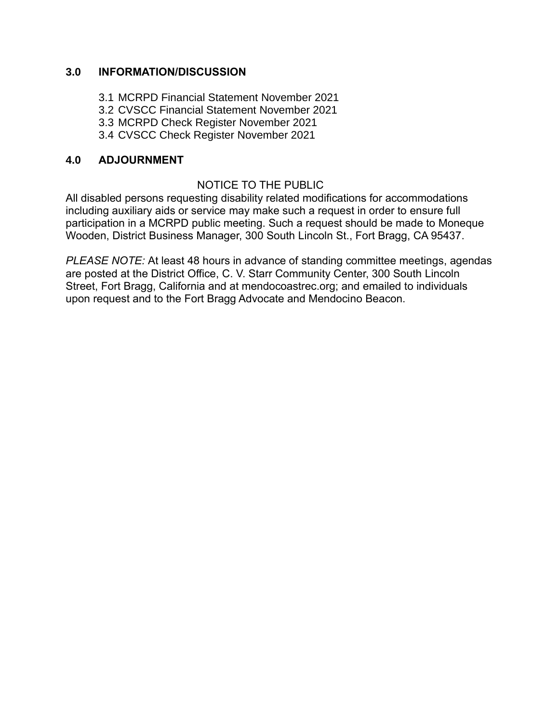#### **3.0 INFORMATION/DISCUSSION**

- 3.1 MCRPD Financial Statement November 2021
- 3.2 CVSCC Financial Statement November 2021
- 3.3 MCRPD Check Register November 2021
- 3.4 CVSCC Check Register November 2021

## **4.0 ADJOURNMENT**

### NOTICE TO THE PUBLIC

All disabled persons requesting disability related modifications for accommodations including auxiliary aids or service may make such a request in order to ensure full participation in a MCRPD public meeting. Such a request should be made to Moneque Wooden, District Business Manager, 300 South Lincoln St., Fort Bragg, CA 95437.

*PLEASE NOTE:* At least 48 hours in advance of standing committee meetings, agendas are posted at the District Office, C. V. Starr Community Center, 300 South Lincoln Street, Fort Bragg, California and at mendocoastrec.org; and emailed to individuals upon request and to the Fort Bragg Advocate and Mendocino Beacon.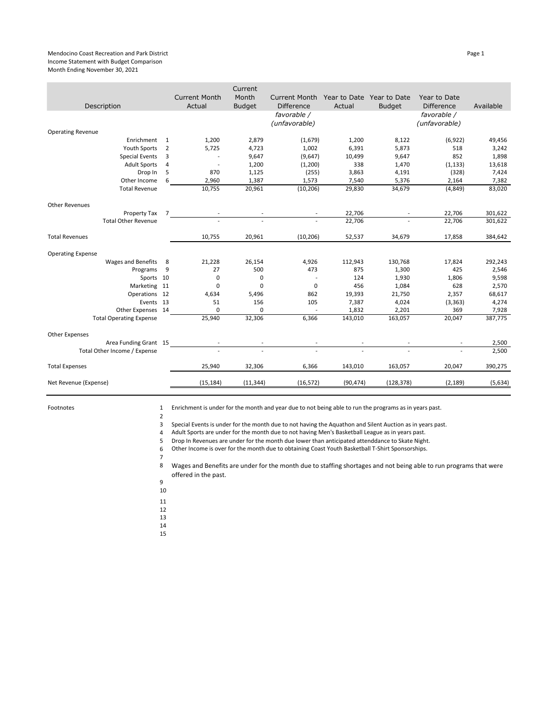#### Mendocino Coast Recreation and Park District **Page 1** and Page 1 and Page 1 and Page 1 and Page 1 and Page 1 and Page 1 and Page 1 and Page 1 and Page 1 and Page 1 and Page 1 and Page 1 and Page 1 and Page 1 and Page 1 and Income Statement with Budget Comparison Month Ending November 30, 2021

|                                |                |                                | Current                |                                           |           |                                            |                                   |           |
|--------------------------------|----------------|--------------------------------|------------------------|-------------------------------------------|-----------|--------------------------------------------|-----------------------------------|-----------|
| Description                    |                | <b>Current Month</b><br>Actual | Month<br><b>Budget</b> | <b>Current Month</b><br><b>Difference</b> | Actual    | Year to Date Year to Date<br><b>Budget</b> | Year to Date<br><b>Difference</b> | Available |
|                                |                |                                |                        | favorable /<br>(unfavorable)              |           |                                            | favorable /<br>(unfavorable)      |           |
| <b>Operating Revenue</b>       |                |                                |                        |                                           |           |                                            |                                   |           |
| Enrichment                     | 1              | 1,200                          | 2,879                  | (1,679)                                   | 1,200     | 8,122                                      | (6, 922)                          | 49,456    |
| <b>Youth Sports</b>            | 2              | 5,725                          | 4,723                  | 1,002                                     | 6,391     | 5,873                                      | 518                               | 3,242     |
| <b>Special Events</b>          | 3              |                                | 9,647                  | (9,647)                                   | 10,499    | 9,647                                      | 852                               | 1,898     |
| <b>Adult Sports</b>            | 4              | $\overline{\phantom{a}}$       | 1,200                  | (1,200)                                   | 338       | 1,470                                      | (1, 133)                          | 13,618    |
| Drop In                        | 5              | 870                            | 1,125                  | (255)                                     | 3,863     | 4,191                                      | (328)                             | 7,424     |
| Other Income                   | 6              | 2,960                          | 1,387                  | 1,573                                     | 7,540     | 5,376                                      | 2,164                             | 7,382     |
| <b>Total Revenue</b>           |                | 10,755                         | 20,961                 | (10, 206)                                 | 29,830    | 34,679                                     | (4, 849)                          | 83,020    |
| <b>Other Revenues</b>          |                |                                |                        |                                           |           |                                            |                                   |           |
| Property Tax                   | $\overline{7}$ |                                |                        |                                           | 22,706    |                                            | 22,706                            | 301,622   |
| <b>Total Other Revenue</b>     |                |                                |                        |                                           | 22,706    |                                            | 22,706                            | 301,622   |
| <b>Total Revenues</b>          |                | 10,755                         | 20,961                 | (10, 206)                                 | 52,537    | 34,679                                     | 17,858                            | 384,642   |
| <b>Operating Expense</b>       |                |                                |                        |                                           |           |                                            |                                   |           |
| <b>Wages and Benefits</b>      | 8              | 21,228                         | 26,154                 | 4,926                                     | 112,943   | 130,768                                    | 17,824                            | 292,243   |
| Programs                       | 9              | 27                             | 500                    | 473                                       | 875       | 1,300                                      | 425                               | 2,546     |
| Sports 10                      |                | 0                              | 0                      |                                           | 124       | 1,930                                      | 1,806                             | 9,598     |
| Marketing 11                   |                | 0                              | 0                      | $\mathsf 0$                               | 456       | 1,084                                      | 628                               | 2,570     |
| Operations 12                  |                | 4,634                          | 5,496                  | 862                                       | 19,393    | 21,750                                     | 2,357                             | 68,617    |
| Events 13                      |                | 51                             | 156                    | 105                                       | 7,387     | 4,024                                      | (3, 363)                          | 4,274     |
| Other Expenses 14              |                | $\mathbf 0$                    | 0                      |                                           | 1,832     | 2,201                                      | 369                               | 7,928     |
| <b>Total Operating Expense</b> |                | 25,940                         | 32,306                 | 6,366                                     | 143,010   | 163,057                                    | 20,047                            | 387,775   |
| <b>Other Expenses</b>          |                |                                |                        |                                           |           |                                            |                                   |           |
| Area Funding Grant 15          |                |                                |                        |                                           |           |                                            |                                   | 2,500     |
| Total Other Income / Expense   |                |                                |                        |                                           |           |                                            |                                   | 2.500     |
| <b>Total Expenses</b>          |                | 25,940                         | 32,306                 | 6,366                                     | 143,010   | 163,057                                    | 20,047                            | 390,275   |
| Net Revenue (Expense)          |                | (15, 184)                      | (11, 344)              | (16, 572)                                 | (90, 474) | (128, 378)                                 | (2, 189)                          | (5,634)   |
|                                |                |                                |                        |                                           |           |                                            |                                   |           |

Footnotes 1

2 Enrichment is under for the month and year due to not being able to run the programs as in years past.

3 Special Events is under for the month due to not having the Aquathon and Silent Auction as in years past.

4 Adult Sports are under for the month due to not having Men's Basketball League as in years past.

5 Drop In Revenues are under for the month due lower than anticipated attenddance to Skate Night.

Other Income is over for the month due to obtaining Coast Youth Basketball T-Shirt Sponsorships.

6 7

8 Wages and Benefits are under for the month due to staffing shortages and not being able to run programs that were offered in the past.

9

10

11 12

13

14

15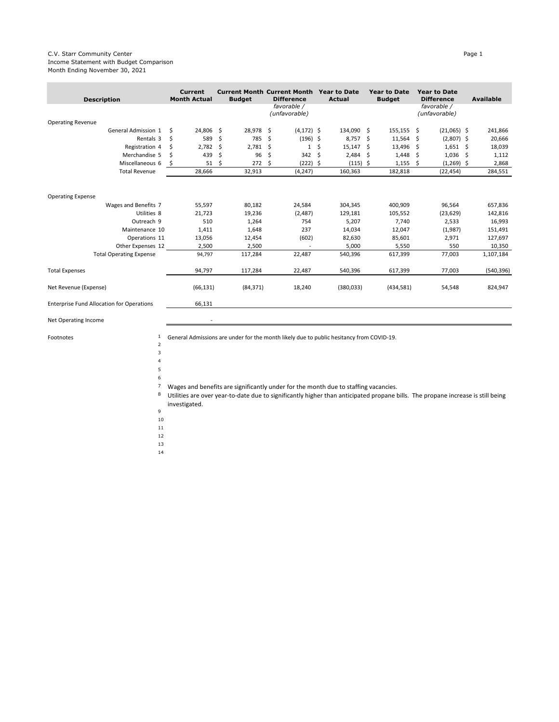#### C.V. Starr Community Center Page 1 Income Statement with Budget Comparison Month Ending November 30, 2021

| <b>Description</b>                               | <b>Current</b><br><b>Month Actual</b> | <b>Budget</b> |    | <b>Current Month Current Month</b><br><b>Difference</b> |    | <b>Year to Date</b><br><b>Actual</b> |      | <b>Year to Date</b><br><b>Budget</b> |     | <b>Year to Date</b><br><b>Difference</b> |     | <b>Available</b> |
|--------------------------------------------------|---------------------------------------|---------------|----|---------------------------------------------------------|----|--------------------------------------|------|--------------------------------------|-----|------------------------------------------|-----|------------------|
|                                                  |                                       |               |    | favorable /<br>(unfavorable)                            |    |                                      |      |                                      |     | favorable /<br>(unfavorable)             |     |                  |
| <b>Operating Revenue</b>                         |                                       |               |    |                                                         |    |                                      |      |                                      |     |                                          |     |                  |
| General Admission 1                              | Ś<br>24,806                           | \$<br>28,978  | \$ | $(4, 172)$ \$                                           |    | 134,090 \$                           |      | 155,155 \$                           |     | $(21,065)$ \$                            |     | 241,866          |
| Rentals 3                                        | \$<br>589                             | \$<br>785     | \$ | $(196)$ \$                                              |    | 8,757                                | S.   | 11,564                               | -\$ | $(2,807)$ \$                             |     | 20,666           |
| Registration 4                                   | 2,782<br>\$                           | \$<br>2,781   | Ŝ  | $\mathbf{1}$                                            | Ŝ. | 15,147                               | -Ś   | 13,496                               | - Ś | $1,651$ \$                               |     | 18,039           |
| Merchandise 5                                    | 439<br>\$                             | \$<br>96      | \$ | $342 \quad$ \$                                          |    | 2,484                                | - \$ | 1,448                                | -Ś  | 1,036                                    | -\$ | 1,112            |
| Miscellaneous 6                                  | \$<br>51                              | \$<br>272     | Ŝ  | $(222)$ \$                                              |    | $(115)$ \$                           |      | 1,155                                | .s  | $(1,269)$ \$                             |     | 2,868            |
| <b>Total Revenue</b>                             | 28,666                                | 32,913        |    | (4, 247)                                                |    | 160,363                              |      | 182,818                              |     | (22, 454)                                |     | 284,551          |
|                                                  |                                       |               |    |                                                         |    |                                      |      |                                      |     |                                          |     |                  |
| <b>Operating Expense</b>                         |                                       |               |    |                                                         |    |                                      |      |                                      |     |                                          |     |                  |
| Wages and Benefits 7                             | 55,597                                | 80,182        |    | 24,584                                                  |    | 304,345                              |      | 400,909                              |     | 96,564                                   |     | 657,836          |
| Utilities 8                                      | 21,723                                | 19,236        |    | (2,487)                                                 |    | 129,181                              |      | 105,552                              |     | (23, 629)                                |     | 142,816          |
| Outreach 9                                       | 510                                   | 1,264         |    | 754                                                     |    | 5,207                                |      | 7,740                                |     | 2,533                                    |     | 16,993           |
| Maintenance 10                                   | 1,411                                 | 1,648         |    | 237                                                     |    | 14,034                               |      | 12,047                               |     | (1,987)                                  |     | 151,491          |
| Operations 11                                    | 13,056                                | 12,454        |    | (602)                                                   |    | 82,630                               |      | 85,601                               |     | 2,971                                    |     | 127,697          |
| Other Expenses 12                                | 2,500                                 | 2,500         |    |                                                         |    | 5,000                                |      | 5,550                                |     | 550                                      |     | 10,350           |
| <b>Total Operating Expense</b>                   | 94,797                                | 117,284       |    | 22,487                                                  |    | 540,396                              |      | 617,399                              |     | 77,003                                   |     | 1,107,184        |
| <b>Total Expenses</b>                            | 94,797                                | 117,284       |    | 22,487                                                  |    | 540,396                              |      | 617,399                              |     | 77,003                                   |     | (540, 396)       |
| Net Revenue (Expense)                            | (66, 131)                             | (84, 371)     |    | 18,240                                                  |    | (380, 033)                           |      | (434,581)                            |     | 54,548                                   |     | 824,947          |
| <b>Enterprise Fund Allocation for Operations</b> | 66,131                                |               |    |                                                         |    |                                      |      |                                      |     |                                          |     |                  |

Net Operating Income and the set of the set of the set of the set of the set of the set of the set of the set o

Footnotes 1

General Admissions are under for the month likely due to public hesitancy from COVID-19.

- 2 3 4
	-
- 5 6
- 7 Wages and benefits are significantly under for the month due to staffing vacancies.
- 8 Utilities are over year-to-date due to significantly higher than anticipated propane bills. The propane increase is still being investigated.
- 9
- 10
- 11
- 12
- 13
- 14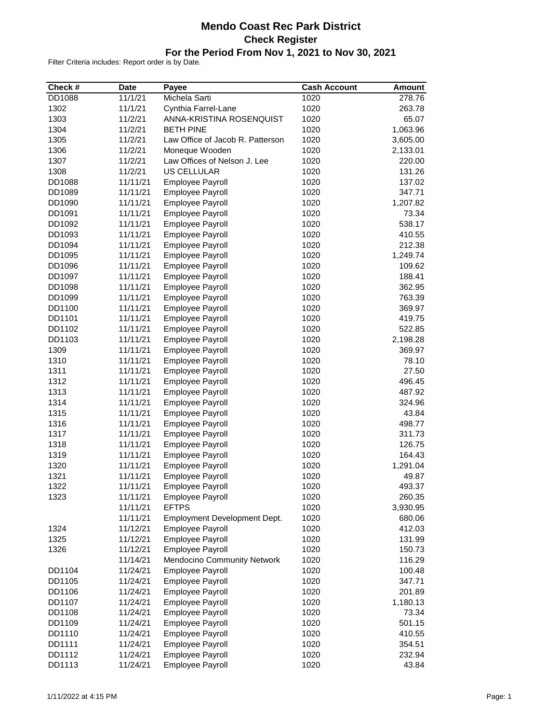### **Mendo Coast Rec Park District Check Register For the Period From Nov 1, 2021 to Nov 30, 2021**

| Check # | <b>Date</b> | Payee                            | <b>Cash Account</b> | <b>Amount</b> |
|---------|-------------|----------------------------------|---------------------|---------------|
| DD1088  | 11/1/21     | Michela Sarti                    | 1020                | 278.76        |
| 1302    | 11/1/21     | Cynthia Farrel-Lane              | 1020                | 263.78        |
| 1303    | 11/2/21     | ANNA-KRISTINA ROSENQUIST         | 1020                | 65.07         |
| 1304    | 11/2/21     | <b>BETH PINE</b>                 | 1020                | 1,063.96      |
| 1305    | 11/2/21     | Law Office of Jacob R. Patterson | 1020                | 3,605.00      |
| 1306    | 11/2/21     | Moneque Wooden                   | 1020                | 2,133.01      |
| 1307    | 11/2/21     | Law Offices of Nelson J. Lee     | 1020                | 220.00        |
| 1308    | 11/2/21     | US CELLULAR                      | 1020                | 131.26        |
| DD1088  | 11/11/21    | Employee Payroll                 | 1020                | 137.02        |
| DD1089  | 11/11/21    | Employee Payroll                 | 1020                | 347.71        |
| DD1090  | 11/11/21    | Employee Payroll                 | 1020                | 1,207.82      |
| DD1091  | 11/11/21    | Employee Payroll                 | 1020                | 73.34         |
| DD1092  | 11/11/21    | Employee Payroll                 | 1020                | 538.17        |
| DD1093  | 11/11/21    | Employee Payroll                 | 1020                | 410.55        |
| DD1094  | 11/11/21    | Employee Payroll                 | 1020                | 212.38        |
| DD1095  | 11/11/21    | Employee Payroll                 | 1020                | 1,249.74      |
| DD1096  | 11/11/21    | Employee Payroll                 | 1020                | 109.62        |
| DD1097  | 11/11/21    | Employee Payroll                 | 1020                | 188.41        |
| DD1098  | 11/11/21    | Employee Payroll                 | 1020                | 362.95        |
|         | 11/11/21    |                                  |                     |               |
| DD1099  |             | Employee Payroll                 | 1020                | 763.39        |
| DD1100  | 11/11/21    | <b>Employee Payroll</b>          | 1020                | 369.97        |
| DD1101  | 11/11/21    | Employee Payroll                 | 1020                | 419.75        |
| DD1102  | 11/11/21    | <b>Employee Payroll</b>          | 1020                | 522.85        |
| DD1103  | 11/11/21    | Employee Payroll                 | 1020                | 2,198.28      |
| 1309    | 11/11/21    | Employee Payroll                 | 1020                | 369.97        |
| 1310    | 11/11/21    | Employee Payroll                 | 1020                | 78.10         |
| 1311    | 11/11/21    | Employee Payroll                 | 1020                | 27.50         |
| 1312    | 11/11/21    | Employee Payroll                 | 1020                | 496.45        |
| 1313    | 11/11/21    | Employee Payroll                 | 1020                | 487.92        |
| 1314    | 11/11/21    | Employee Payroll                 | 1020                | 324.96        |
| 1315    | 11/11/21    | Employee Payroll                 | 1020                | 43.84         |
| 1316    | 11/11/21    | Employee Payroll                 | 1020                | 498.77        |
| 1317    | 11/11/21    | Employee Payroll                 | 1020                | 311.73        |
| 1318    | 11/11/21    | Employee Payroll                 | 1020                | 126.75        |
| 1319    | 11/11/21    | <b>Employee Payroll</b>          | 1020                | 164.43        |
| 1320    | 11/11/21    | <b>Employee Payroll</b>          | 1020                | 1,291.04      |
| 1321    | 11/11/21    | <b>Employee Payroll</b>          | 1020                | 49.87         |
| 1322    | 11/11/21    | <b>Employee Payroll</b>          | 1020                | 493.37        |
| 1323    | 11/11/21    | <b>Employee Payroll</b>          | 1020                | 260.35        |
|         | 11/11/21    | <b>EFTPS</b>                     | 1020                | 3,930.95      |
|         | 11/11/21    | Employment Development Dept.     | 1020                | 680.06        |
| 1324    | 11/12/21    | Employee Payroll                 | 1020                | 412.03        |
| 1325    | 11/12/21    | <b>Employee Payroll</b>          | 1020                | 131.99        |
| 1326    | 11/12/21    | <b>Employee Payroll</b>          | 1020                | 150.73        |
|         | 11/14/21    | Mendocino Community Network      | 1020                | 116.29        |
| DD1104  | 11/24/21    | Employee Payroll                 | 1020                | 100.48        |
| DD1105  | 11/24/21    | Employee Payroll                 | 1020                | 347.71        |
|         | 11/24/21    | Employee Payroll                 |                     |               |
| DD1106  |             |                                  | 1020                | 201.89        |
| DD1107  | 11/24/21    | <b>Employee Payroll</b>          | 1020                | 1,180.13      |
| DD1108  | 11/24/21    | Employee Payroll                 | 1020                | 73.34         |
| DD1109  | 11/24/21    | Employee Payroll                 | 1020                | 501.15        |
| DD1110  | 11/24/21    | Employee Payroll                 | 1020                | 410.55        |
| DD1111  | 11/24/21    | Employee Payroll                 | 1020                | 354.51        |
| DD1112  | 11/24/21    | Employee Payroll                 | 1020                | 232.94        |
| DD1113  | 11/24/21    | Employee Payroll                 | 1020                | 43.84         |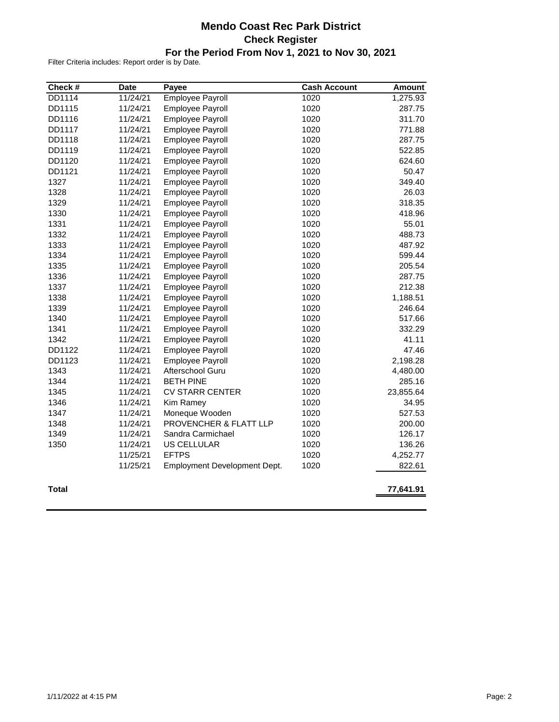### **Mendo Coast Rec Park District Check Register For the Period From Nov 1, 2021 to Nov 30, 2021**

| Check #      | <b>Date</b> | Payee                        | <b>Cash Account</b> | <b>Amount</b> |
|--------------|-------------|------------------------------|---------------------|---------------|
| DD1114       | 11/24/21    | <b>Employee Payroll</b>      | 1020                | 1,275.93      |
| DD1115       | 11/24/21    | Employee Payroll             | 1020                | 287.75        |
| DD1116       | 11/24/21    | Employee Payroll             | 1020                | 311.70        |
| DD1117       | 11/24/21    | Employee Payroll             | 1020                | 771.88        |
| DD1118       | 11/24/21    | Employee Payroll             | 1020                | 287.75        |
| DD1119       | 11/24/21    | Employee Payroll             | 1020                | 522.85        |
| DD1120       | 11/24/21    | Employee Payroll             | 1020                | 624.60        |
| DD1121       | 11/24/21    | Employee Payroll             | 1020                | 50.47         |
| 1327         | 11/24/21    | Employee Payroll             | 1020                | 349.40        |
| 1328         | 11/24/21    | Employee Payroll             | 1020                | 26.03         |
| 1329         | 11/24/21    | Employee Payroll             | 1020                | 318.35        |
| 1330         | 11/24/21    | Employee Payroll             | 1020                | 418.96        |
| 1331         | 11/24/21    | Employee Payroll             | 1020                | 55.01         |
| 1332         | 11/24/21    | Employee Payroll             | 1020                | 488.73        |
| 1333         | 11/24/21    | Employee Payroll             | 1020                | 487.92        |
| 1334         | 11/24/21    | Employee Payroll             | 1020                | 599.44        |
| 1335         | 11/24/21    | Employee Payroll             | 1020                | 205.54        |
| 1336         | 11/24/21    | Employee Payroll             | 1020                | 287.75        |
| 1337         | 11/24/21    | Employee Payroll             | 1020                | 212.38        |
| 1338         | 11/24/21    | Employee Payroll             | 1020                | 1,188.51      |
| 1339         | 11/24/21    | Employee Payroll             | 1020                | 246.64        |
| 1340         | 11/24/21    | Employee Payroll             | 1020                | 517.66        |
| 1341         | 11/24/21    | Employee Payroll             | 1020                | 332.29        |
| 1342         | 11/24/21    | Employee Payroll             | 1020                | 41.11         |
| DD1122       | 11/24/21    | Employee Payroll             | 1020                | 47.46         |
| DD1123       | 11/24/21    | Employee Payroll             | 1020                | 2,198.28      |
| 1343         | 11/24/21    | Afterschool Guru             | 1020                | 4,480.00      |
| 1344         | 11/24/21    | <b>BETH PINE</b>             | 1020                | 285.16        |
| 1345         | 11/24/21    | <b>CV STARR CENTER</b>       | 1020                | 23,855.64     |
| 1346         | 11/24/21    | Kim Ramey                    | 1020                | 34.95         |
| 1347         | 11/24/21    | Moneque Wooden               | 1020                | 527.53        |
| 1348         | 11/24/21    | PROVENCHER & FLATT LLP       | 1020                | 200.00        |
| 1349         | 11/24/21    | Sandra Carmichael            | 1020                | 126.17        |
| 1350         | 11/24/21    | US CELLULAR                  | 1020                | 136.26        |
|              | 11/25/21    | <b>EFTPS</b>                 | 1020                | 4,252.77      |
|              | 11/25/21    | Employment Development Dept. | 1020                | 822.61        |
| <b>Total</b> |             |                              |                     | 77,641.91     |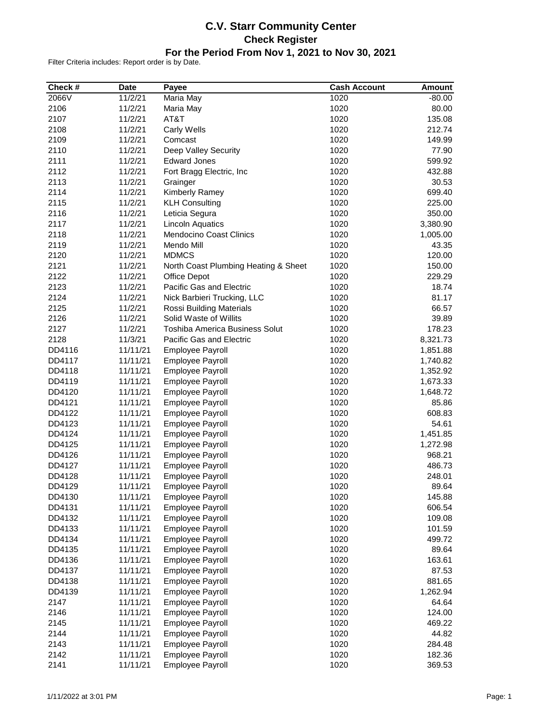### **C.V. Starr Community Center Check Register For the Period From Nov 1, 2021 to Nov 30, 2021**

| Check # | <b>Date</b> | Payee                                 | <b>Cash Account</b> | <b>Amount</b> |
|---------|-------------|---------------------------------------|---------------------|---------------|
| 2066V   | 11/2/21     | Maria May                             | 1020                | $-80.00$      |
| 2106    | 11/2/21     | Maria May                             | 1020                | 80.00         |
| 2107    | 11/2/21     | AT&T                                  | 1020                | 135.08        |
| 2108    | 11/2/21     | Carly Wells                           | 1020                | 212.74        |
| 2109    | 11/2/21     | Comcast                               | 1020                | 149.99        |
| 2110    | 11/2/21     | Deep Valley Security                  | 1020                | 77.90         |
| 2111    | 11/2/21     | <b>Edward Jones</b>                   | 1020                | 599.92        |
| 2112    | 11/2/21     | Fort Bragg Electric, Inc              | 1020                | 432.88        |
| 2113    | 11/2/21     | Grainger                              | 1020                | 30.53         |
| 2114    | 11/2/21     | Kimberly Ramey                        | 1020                | 699.40        |
| 2115    | 11/2/21     | <b>KLH Consulting</b>                 | 1020                | 225.00        |
| 2116    | 11/2/21     | Leticia Segura                        | 1020                | 350.00        |
| 2117    | 11/2/21     | <b>Lincoln Aquatics</b>               | 1020                | 3,380.90      |
| 2118    | 11/2/21     | Mendocino Coast Clinics               | 1020                | 1,005.00      |
| 2119    | 11/2/21     | Mendo Mill                            | 1020                | 43.35         |
| 2120    | 11/2/21     | <b>MDMCS</b>                          | 1020                | 120.00        |
| 2121    | 11/2/21     | North Coast Plumbing Heating & Sheet  | 1020                | 150.00        |
| 2122    | 11/2/21     | <b>Office Depot</b>                   | 1020                | 229.29        |
| 2123    | 11/2/21     | Pacific Gas and Electric              | 1020                | 18.74         |
| 2124    | 11/2/21     | Nick Barbieri Trucking, LLC           | 1020                | 81.17         |
| 2125    | 11/2/21     | Rossi Building Materials              | 1020                | 66.57         |
| 2126    | 11/2/21     | Solid Waste of Willits                | 1020                | 39.89         |
| 2127    | 11/2/21     | <b>Toshiba America Business Solut</b> | 1020                | 178.23        |
| 2128    | 11/3/21     | Pacific Gas and Electric              | 1020                | 8,321.73      |
| DD4116  | 11/11/21    | Employee Payroll                      | 1020                | 1,851.88      |
| DD4117  | 11/11/21    | Employee Payroll                      | 1020                | 1,740.82      |
| DD4118  | 11/11/21    | Employee Payroll                      | 1020                | 1,352.92      |
| DD4119  | 11/11/21    | Employee Payroll                      | 1020                | 1,673.33      |
| DD4120  | 11/11/21    | Employee Payroll                      | 1020                | 1,648.72      |
| DD4121  | 11/11/21    | Employee Payroll                      | 1020                | 85.86         |
| DD4122  | 11/11/21    | Employee Payroll                      | 1020                | 608.83        |
| DD4123  | 11/11/21    | Employee Payroll                      | 1020                | 54.61         |
| DD4124  | 11/11/21    | Employee Payroll                      | 1020                | 1,451.85      |
| DD4125  | 11/11/21    | Employee Payroll                      | 1020                | 1,272.98      |
| DD4126  | 11/11/21    | <b>Employee Payroll</b>               | 1020                | 968.21        |
| DD4127  | 11/11/21    | Employee Payroll                      | 1020                | 486.73        |
| DD4128  | 11/11/21    | <b>Employee Payroll</b>               | 1020                | 248.01        |
| DD4129  | 11/11/21    | <b>Employee Payroll</b>               | 1020                | 89.64         |
| DD4130  | 11/11/21    | <b>Employee Payroll</b>               | 1020                | 145.88        |
| DD4131  | 11/11/21    | Employee Payroll                      | 1020                | 606.54        |
| DD4132  | 11/11/21    | Employee Payroll                      | 1020                | 109.08        |
| DD4133  | 11/11/21    | Employee Payroll                      | 1020                | 101.59        |
| DD4134  | 11/11/21    | Employee Payroll                      | 1020                | 499.72        |
| DD4135  | 11/11/21    | <b>Employee Payroll</b>               | 1020                | 89.64         |
| DD4136  | 11/11/21    | Employee Payroll                      | 1020                | 163.61        |
| DD4137  | 11/11/21    | Employee Payroll                      | 1020                | 87.53         |
| DD4138  | 11/11/21    | Employee Payroll                      | 1020                | 881.65        |
| DD4139  | 11/11/21    | <b>Employee Payroll</b>               | 1020                | 1,262.94      |
| 2147    | 11/11/21    | Employee Payroll                      | 1020                | 64.64         |
| 2146    | 11/11/21    | Employee Payroll                      | 1020                | 124.00        |
| 2145    | 11/11/21    | Employee Payroll                      | 1020                | 469.22        |
| 2144    | 11/11/21    | Employee Payroll                      | 1020                | 44.82         |
| 2143    | 11/11/21    | Employee Payroll                      | 1020                | 284.48        |
| 2142    | 11/11/21    | Employee Payroll                      | 1020                | 182.36        |
| 2141    | 11/11/21    | Employee Payroll                      | 1020                | 369.53        |
|         |             |                                       |                     |               |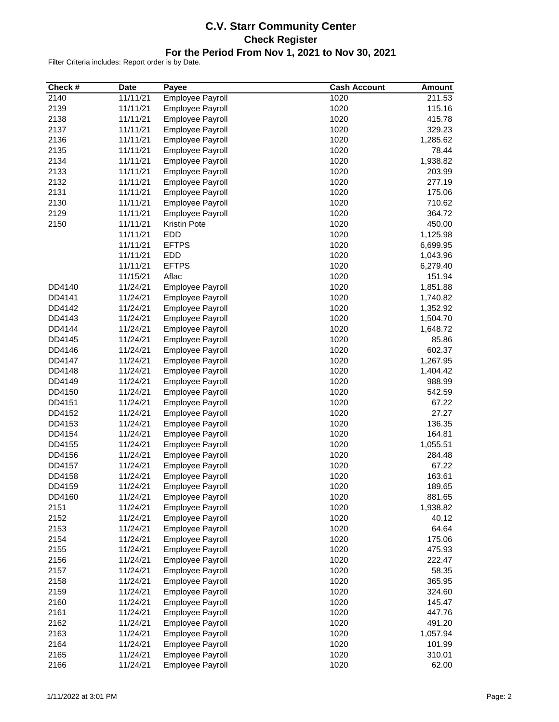### **C.V. Starr Community Center Check Register For the Period From Nov 1, 2021 to Nov 30, 2021**

| Check #      | <b>Date</b>          | Payee                   | <b>Cash Account</b> | <b>Amount</b> |
|--------------|----------------------|-------------------------|---------------------|---------------|
| 2140         | 11/11/21             | Employee Payroll        | 1020                | 211.53        |
| 2139         | 11/11/21             | <b>Employee Payroll</b> | 1020                | 115.16        |
| 2138         | 11/11/21             | <b>Employee Payroll</b> | 1020                | 415.78        |
| 2137         | 11/11/21             | <b>Employee Payroll</b> | 1020                | 329.23        |
| 2136         | 11/11/21             | <b>Employee Payroll</b> | 1020                | 1,285.62      |
| 2135         | 11/11/21             | <b>Employee Payroll</b> | 1020                | 78.44         |
| 2134         | 11/11/21             | <b>Employee Payroll</b> | 1020                | 1,938.82      |
| 2133         | 11/11/21             | <b>Employee Payroll</b> | 1020                | 203.99        |
| 2132         | 11/11/21             | <b>Employee Payroll</b> | 1020                | 277.19        |
| 2131         | 11/11/21             | <b>Employee Payroll</b> | 1020                | 175.06        |
| 2130         | 11/11/21             | Employee Payroll        | 1020                | 710.62        |
| 2129         | 11/11/21             | <b>Employee Payroll</b> | 1020                | 364.72        |
| 2150         | 11/11/21             | <b>Kristin Pote</b>     | 1020                | 450.00        |
|              | 11/11/21             | EDD                     | 1020                | 1,125.98      |
|              | 11/11/21             | <b>EFTPS</b>            | 1020                | 6,699.95      |
|              | 11/11/21             | <b>EDD</b>              | 1020                | 1,043.96      |
|              | 11/11/21             | <b>EFTPS</b>            | 1020                | 6,279.40      |
|              | 11/15/21             | Aflac                   | 1020                | 151.94        |
| DD4140       | 11/24/21             | <b>Employee Payroll</b> | 1020                | 1,851.88      |
| DD4141       | 11/24/21             | <b>Employee Payroll</b> | 1020                | 1,740.82      |
| DD4142       | 11/24/21             | <b>Employee Payroll</b> | 1020                | 1,352.92      |
| DD4143       | 11/24/21             | <b>Employee Payroll</b> | 1020                | 1,504.70      |
| DD4144       | 11/24/21             | <b>Employee Payroll</b> | 1020                | 1,648.72      |
| DD4145       | 11/24/21             | <b>Employee Payroll</b> | 1020                | 85.86         |
| DD4146       | 11/24/21             | Employee Payroll        | 1020                | 602.37        |
| DD4147       | 11/24/21             | Employee Payroll        | 1020                | 1,267.95      |
| DD4148       | 11/24/21             | <b>Employee Payroll</b> | 1020                | 1,404.42      |
| DD4149       | 11/24/21             | <b>Employee Payroll</b> | 1020                | 988.99        |
| DD4150       | 11/24/21             | <b>Employee Payroll</b> | 1020                | 542.59        |
| DD4151       | 11/24/21             | <b>Employee Payroll</b> | 1020                | 67.22         |
| DD4152       | 11/24/21             | <b>Employee Payroll</b> | 1020                | 27.27         |
| DD4153       | 11/24/21             | <b>Employee Payroll</b> | 1020                | 136.35        |
| DD4154       | 11/24/21             | <b>Employee Payroll</b> | 1020                | 164.81        |
| DD4155       | 11/24/21             | <b>Employee Payroll</b> | 1020                | 1,055.51      |
| DD4156       | 11/24/21             | <b>Employee Payroll</b> | 1020                | 284.48        |
| DD4157       | 11/24/21             | Employee Payroll        | 1020                | 67.22         |
| DD4158       | 11/24/21             | <b>Employee Payroll</b> | 1020                | 163.61        |
| DD4159       | 11/24/21             | <b>Employee Payroll</b> | 1020                | 189.65        |
| DD4160       | 11/24/21             | Employee Payroll        | 1020                | 881.65        |
| 2151         | 11/24/21             | Employee Payroll        | 1020                | 1,938.82      |
| 2152         | 11/24/21             | <b>Employee Payroll</b> | 1020                | 40.12         |
| 2153         | 11/24/21             | <b>Employee Payroll</b> | 1020                | 64.64         |
| 2154         | 11/24/21             | <b>Employee Payroll</b> | 1020                | 175.06        |
|              |                      |                         | 1020                | 475.93        |
| 2155<br>2156 | 11/24/21<br>11/24/21 | <b>Employee Payroll</b> | 1020                | 222.47        |
|              |                      | <b>Employee Payroll</b> |                     |               |
| 2157         | 11/24/21             | <b>Employee Payroll</b> | 1020                | 58.35         |
| 2158         | 11/24/21             | <b>Employee Payroll</b> | 1020                | 365.95        |
| 2159         | 11/24/21             | Employee Payroll        | 1020                | 324.60        |
| 2160         | 11/24/21             | <b>Employee Payroll</b> | 1020                | 145.47        |
| 2161         | 11/24/21             | <b>Employee Payroll</b> | 1020                | 447.76        |
| 2162         | 11/24/21             | Employee Payroll        | 1020                | 491.20        |
| 2163         | 11/24/21             | <b>Employee Payroll</b> | 1020                | 1,057.94      |
| 2164         | 11/24/21             | <b>Employee Payroll</b> | 1020                | 101.99        |
| 2165         | 11/24/21             | <b>Employee Payroll</b> | 1020                | 310.01        |
| 2166         | 11/24/21             | <b>Employee Payroll</b> | 1020                | 62.00         |